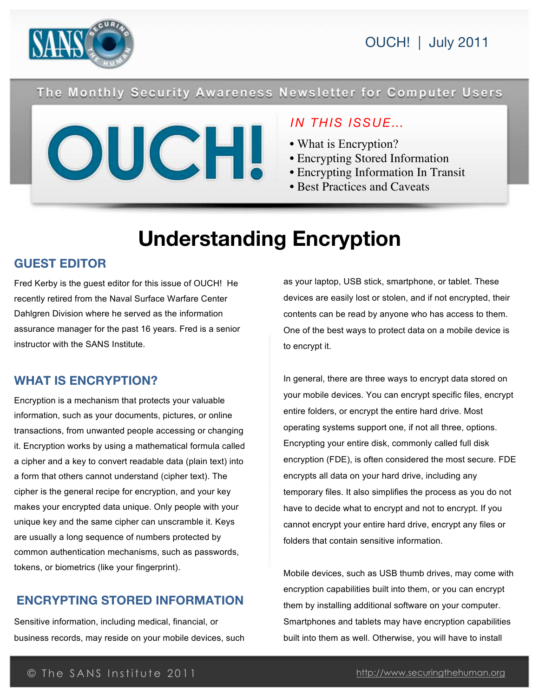

## The Monthly Security Awareness Newsletter for Computer Users



## *IN THIS ISSUE…*

- What is Encryption?
- Encrypting Stored Information
- Encrypting Information In Transit
- Best Practices and Caveats

# **Understanding Encryption**

## **GUEST EDITOR**

Fred Kerby is the guest editor for this issue of OUCH! He recently retired from the Naval Surface Warfare Center Dahlgren Division where he served as the information assurance manager for the past 16 years. Fred is a senior instructor with the SANS Institute.

## **WHAT IS ENCRYPTION?**

Encryption is a mechanism that protects your valuable information, such as your documents, pictures, or online transactions, from unwanted people accessing or changing it. Encryption works by using a mathematical formula called a cipher and a key to convert readable data (plain text) into a form that others cannot understand (cipher text). The cipher is the general recipe for encryption, and your key makes your encrypted data unique. Only people with your unique key and the same cipher can unscramble it. Keys are usually a long sequence of numbers protected by common authentication mechanisms, such as passwords, tokens, or biometrics (like your fingerprint).

## **ENCRYPTING STORED INFORMATION**

Sensitive information, including medical, financial, or business records, may reside on your mobile devices, such as your laptop, USB stick, smartphone, or tablet. These devices are easily lost or stolen, and if not encrypted, their contents can be read by anyone who has access to them. One of the best ways to protect data on a mobile device is to encrypt it.

In general, there are three ways to encrypt data stored on your mobile devices. You can encrypt specific files, encrypt entire folders, or encrypt the entire hard drive. Most operating systems support one, if not all three, options. Encrypting your entire disk, commonly called full disk encryption (FDE), is often considered the most secure. FDE encrypts all data on your hard drive, including any temporary files. It also simplifies the process as you do not have to decide what to encrypt and not to encrypt. If you cannot encrypt your entire hard drive, encrypt any files or folders that contain sensitive information.

Mobile devices, such as USB thumb drives, may come with encryption capabilities built into them, or you can encrypt them by installing additional software on your computer. Smartphones and tablets may have encryption capabilities built into them as well. Otherwise, you will have to install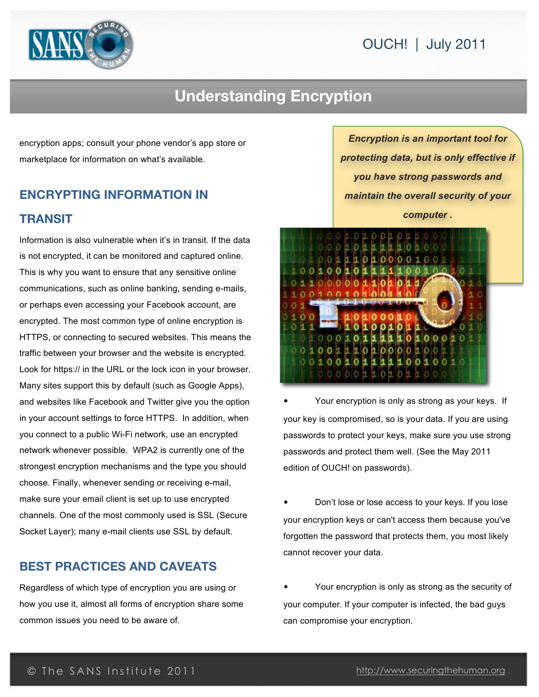## OUCH! | July 2011



## **Understanding Encryption**

encryption apps; consult your phone vendor's app store or marketplace for information on what's available.

## **ENCRYPTING INFORMATION IN TRANSIT**

Information is also vulnerable when it's in transit. If the data is not encrypted, it can be monitored and captured online. This is why you want to ensure that any sensitive online communications, such as online banking, sending e-mails, or perhaps even accessing your Facebook account, are encrypted. The most common type of online encryption is HTTPS, or connecting to secured websites. This means the traffic between your browser and the website is encrypted. Look for https:// in the URL or the lock icon in your browser. Many sites support this by default (such as Google Apps), and websites like Facebook and Twitter give you the option in your account settings to force HTTPS. In addition, when you connect to a public Wi-Fi network, use an encrypted network whenever possible. WPA2 is currently one of the strongest encryption mechanisms and the type you should choose. Finally, whenever sending or receiving e-mail, make sure your email client is set up to use encrypted channels. One of the most commonly used is SSL (Secure Socket Layer); many e-mail clients use SSL by default.

#### **BEST PRACTICES AND CAVEATS**

Regardless of which type of encryption you are using or how you use it, almost all forms of encryption share some common issues you need to be aware of.

*Encryption is an important tool for protecting data, but is only effective if you have strong passwords and maintain the overall security of your computer .*



Your encryption is only as strong as your keys. If your key is compromised, so is your data. If you are using passwords to protect your keys, make sure you use strong passwords and protect them well. (See the May 2011 edition of OUCH! on passwords).

• Don't lose or lose access to your keys. If you lose your encryption keys or can't access them because you've forgotten the password that protects them, you most likely cannot recover your data.

• Your encryption is only as strong as the security of your computer. If your computer is infected, the bad guys can compromise your encryption.